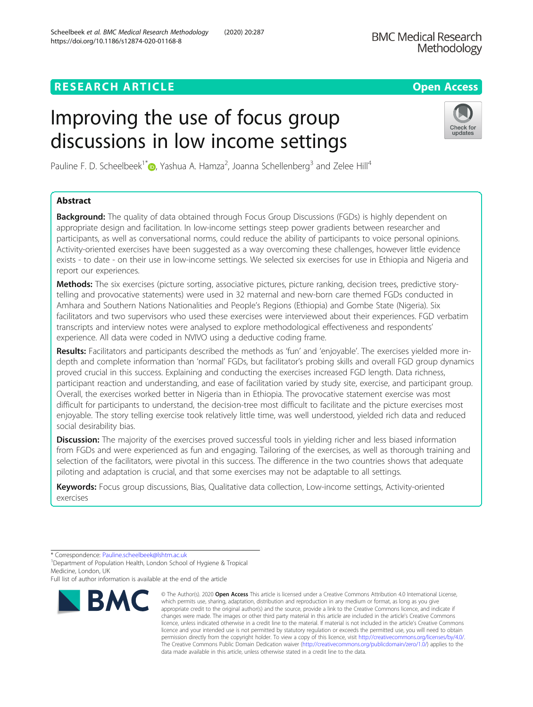# **RESEARCH ARTICLE Example 2014 12:30 The Contract of Contract ACCESS**

# Improving the use of focus group discussions in low income settings

Pauline F. D. Scheelbeek<sup>1[\\*](http://orcid.org/0000-0002-6209-2284)</sup> $\bullet$ , Yashua A. Hamza<sup>2</sup>, Joanna Schellenberg<sup>3</sup> and Zelee Hill<sup>4</sup>

## Abstract

**Background:** The quality of data obtained through Focus Group Discussions (FGDs) is highly dependent on appropriate design and facilitation. In low-income settings steep power gradients between researcher and participants, as well as conversational norms, could reduce the ability of participants to voice personal opinions. Activity-oriented exercises have been suggested as a way overcoming these challenges, however little evidence exists - to date - on their use in low-income settings. We selected six exercises for use in Ethiopia and Nigeria and report our experiences.

Methods: The six exercises (picture sorting, associative pictures, picture ranking, decision trees, predictive storytelling and provocative statements) were used in 32 maternal and new-born care themed FGDs conducted in Amhara and Southern Nations Nationalities and People's Regions (Ethiopia) and Gombe State (Nigeria). Six facilitators and two supervisors who used these exercises were interviewed about their experiences. FGD verbatim transcripts and interview notes were analysed to explore methodological effectiveness and respondents' experience. All data were coded in NVIVO using a deductive coding frame.

Results: Facilitators and participants described the methods as 'fun' and 'enjoyable'. The exercises yielded more indepth and complete information than 'normal' FGDs, but facilitator's probing skills and overall FGD group dynamics proved crucial in this success. Explaining and conducting the exercises increased FGD length. Data richness, participant reaction and understanding, and ease of facilitation varied by study site, exercise, and participant group. Overall, the exercises worked better in Nigeria than in Ethiopia. The provocative statement exercise was most difficult for participants to understand, the decision-tree most difficult to facilitate and the picture exercises most enjoyable. The story telling exercise took relatively little time, was well understood, yielded rich data and reduced social desirability bias.

Discussion: The majority of the exercises proved successful tools in yielding richer and less biased information from FGDs and were experienced as fun and engaging. Tailoring of the exercises, as well as thorough training and selection of the facilitators, were pivotal in this success. The difference in the two countries shows that adequate piloting and adaptation is crucial, and that some exercises may not be adaptable to all settings.

Keywords: Focus group discussions, Bias, Qualitative data collection, Low-income settings, Activity-oriented exercises

<sup>1</sup> Department of Population Health, London School of Hygiene & Tropical Medicine, London, UK



© The Author(s), 2020 **Open Access** This article is licensed under a Creative Commons Attribution 4.0 International License, which permits use, sharing, adaptation, distribution and reproduction in any medium or format, as long as you give



<sup>\*</sup> Correspondence: [Pauline.scheelbeek@lshtm.ac.uk](mailto:Pauline.scheelbeek@lshtm.ac.uk) <sup>1</sup>

Full list of author information is available at the end of the article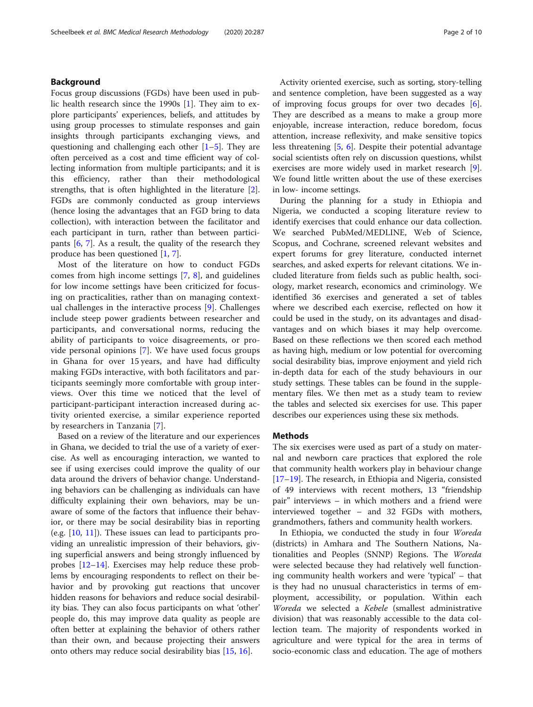## Background

Focus group discussions (FGDs) have been used in public health research since the 1990s [\[1](#page-9-0)]. They aim to explore participants' experiences, beliefs, and attitudes by using group processes to stimulate responses and gain insights through participants exchanging views, and questioning and challenging each other  $[1–5]$  $[1–5]$  $[1–5]$  $[1–5]$  $[1–5]$ . They are often perceived as a cost and time efficient way of collecting information from multiple participants; and it is this efficiency, rather than their methodological strengths, that is often highlighted in the literature [\[2](#page-9-0)]. FGDs are commonly conducted as group interviews (hence losing the advantages that an FGD bring to data collection), with interaction between the facilitator and each participant in turn, rather than between participants [\[6](#page-9-0), [7\]](#page-9-0). As a result, the quality of the research they produce has been questioned [\[1](#page-9-0), [7](#page-9-0)].

Most of the literature on how to conduct FGDs comes from high income settings [[7,](#page-9-0) [8\]](#page-9-0), and guidelines for low income settings have been criticized for focusing on practicalities, rather than on managing contextual challenges in the interactive process [[9\]](#page-9-0). Challenges include steep power gradients between researcher and participants, and conversational norms, reducing the ability of participants to voice disagreements, or provide personal opinions [[7](#page-9-0)]. We have used focus groups in Ghana for over 15 years, and have had difficulty making FGDs interactive, with both facilitators and participants seemingly more comfortable with group interviews. Over this time we noticed that the level of participant-participant interaction increased during activity oriented exercise, a similar experience reported by researchers in Tanzania [[7\]](#page-9-0).

Based on a review of the literature and our experiences in Ghana, we decided to trial the use of a variety of exercise. As well as encouraging interaction, we wanted to see if using exercises could improve the quality of our data around the drivers of behavior change. Understanding behaviors can be challenging as individuals can have difficulty explaining their own behaviors, may be unaware of some of the factors that influence their behavior, or there may be social desirability bias in reporting (e.g.  $[10, 11]$  $[10, 11]$  $[10, 11]$  $[10, 11]$  $[10, 11]$ ). These issues can lead to participants providing an unrealistic impression of their behaviors, giving superficial answers and being strongly influenced by probes [\[12](#page-9-0)–[14\]](#page-9-0). Exercises may help reduce these problems by encouraging respondents to reflect on their behavior and by provoking gut reactions that uncover hidden reasons for behaviors and reduce social desirability bias. They can also focus participants on what 'other' people do, this may improve data quality as people are often better at explaining the behavior of others rather than their own, and because projecting their answers onto others may reduce social desirability bias [\[15,](#page-9-0) [16\]](#page-9-0).

Activity oriented exercise, such as sorting, story-telling and sentence completion, have been suggested as a way of improving focus groups for over two decades [\[6](#page-9-0)]. They are described as a means to make a group more enjoyable, increase interaction, reduce boredom, focus attention, increase reflexivity, and make sensitive topics less threatening [\[5](#page-9-0), [6](#page-9-0)]. Despite their potential advantage social scientists often rely on discussion questions, whilst exercises are more widely used in market research [\[9](#page-9-0)]. We found little written about the use of these exercises in low- income settings.

During the planning for a study in Ethiopia and Nigeria, we conducted a scoping literature review to identify exercises that could enhance our data collection. We searched PubMed/MEDLINE, Web of Science, Scopus, and Cochrane, screened relevant websites and expert forums for grey literature, conducted internet searches, and asked experts for relevant citations. We included literature from fields such as public health, sociology, market research, economics and criminology. We identified 36 exercises and generated a set of tables where we described each exercise, reflected on how it could be used in the study, on its advantages and disadvantages and on which biases it may help overcome. Based on these reflections we then scored each method as having high, medium or low potential for overcoming social desirability bias, improve enjoyment and yield rich in-depth data for each of the study behaviours in our study settings. These tables can be found in the supplementary files. We then met as a study team to review the tables and selected six exercises for use. This paper describes our experiences using these six methods.

## **Methods**

The six exercises were used as part of a study on maternal and newborn care practices that explored the role that community health workers play in behaviour change [[17](#page-9-0)–[19](#page-9-0)]. The research, in Ethiopia and Nigeria, consisted of 49 interviews with recent mothers, 13 "friendship pair" interviews – in which mothers and a friend were interviewed together – and 32 FGDs with mothers, grandmothers, fathers and community health workers.

In Ethiopia, we conducted the study in four Woreda (districts) in Amhara and The Southern Nations, Nationalities and Peoples (SNNP) Regions. The Woreda were selected because they had relatively well functioning community health workers and were 'typical' – that is they had no unusual characteristics in terms of employment, accessibility, or population. Within each Woreda we selected a Kebele (smallest administrative division) that was reasonably accessible to the data collection team. The majority of respondents worked in agriculture and were typical for the area in terms of socio-economic class and education. The age of mothers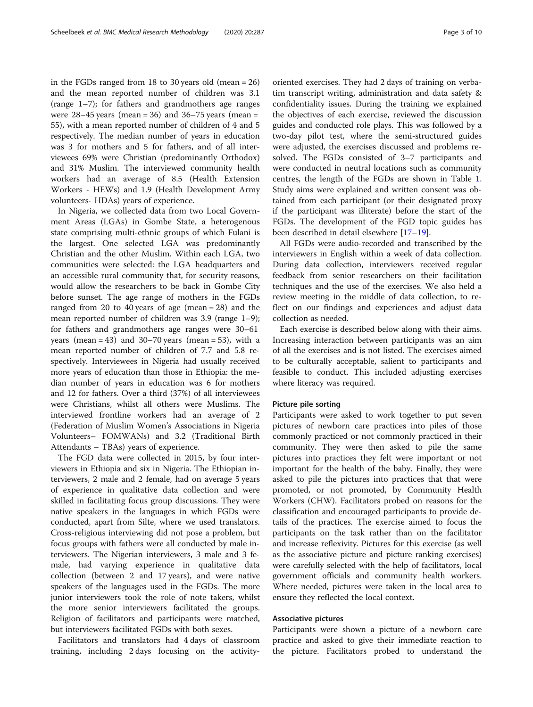in the FGDs ranged from 18 to 30 years old (mean = 26) and the mean reported number of children was 3.1 (range 1–7); for fathers and grandmothers age ranges were  $28-45$  years (mean = 36) and  $36-75$  years (mean = 55), with a mean reported number of children of 4 and 5 respectively. The median number of years in education was 3 for mothers and 5 for fathers, and of all interviewees 69% were Christian (predominantly Orthodox) and 31% Muslim. The interviewed community health workers had an average of 8.5 (Health Extension Workers - HEWs) and 1.9 (Health Development Army volunteers- HDAs) years of experience.

In Nigeria, we collected data from two Local Government Areas (LGAs) in Gombe State, a heterogenous state comprising multi-ethnic groups of which Fulani is the largest. One selected LGA was predominantly Christian and the other Muslim. Within each LGA, two communities were selected: the LGA headquarters and an accessible rural community that, for security reasons, would allow the researchers to be back in Gombe City before sunset. The age range of mothers in the FGDs ranged from 20 to 40 years of age (mean  $= 28$ ) and the mean reported number of children was 3.9 (range 1–9); for fathers and grandmothers age ranges were 30–61 years (mean = 43) and  $30-70$  years (mean = 53), with a mean reported number of children of 7.7 and 5.8 respectively. Interviewees in Nigeria had usually received more years of education than those in Ethiopia: the median number of years in education was 6 for mothers and 12 for fathers. Over a third (37%) of all interviewees were Christians, whilst all others were Muslims. The interviewed frontline workers had an average of 2 (Federation of Muslim Women's Associations in Nigeria Volunteers– FOMWANs) and 3.2 (Traditional Birth Attendants – TBAs) years of experience.

The FGD data were collected in 2015, by four interviewers in Ethiopia and six in Nigeria. The Ethiopian interviewers, 2 male and 2 female, had on average 5 years of experience in qualitative data collection and were skilled in facilitating focus group discussions. They were native speakers in the languages in which FGDs were conducted, apart from Silte, where we used translators. Cross-religious interviewing did not pose a problem, but focus groups with fathers were all conducted by male interviewers. The Nigerian interviewers, 3 male and 3 female, had varying experience in qualitative data collection (between 2 and 17 years), and were native speakers of the languages used in the FGDs. The more junior interviewers took the role of note takers, whilst the more senior interviewers facilitated the groups. Religion of facilitators and participants were matched, but interviewers facilitated FGDs with both sexes.

Facilitators and translators had 4 days of classroom training, including 2 days focusing on the activity-

oriented exercises. They had 2 days of training on verbatim transcript writing, administration and data safety & confidentiality issues. During the training we explained the objectives of each exercise, reviewed the discussion guides and conducted role plays. This was followed by a two-day pilot test, where the semi-structured guides were adjusted, the exercises discussed and problems resolved. The FGDs consisted of 3–7 participants and were conducted in neutral locations such as community centres, the length of the FGDs are shown in Table [1](#page-3-0). Study aims were explained and written consent was obtained from each participant (or their designated proxy if the participant was illiterate) before the start of the FGDs. The development of the FGD topic guides has been described in detail elsewhere [[17](#page-9-0)–[19](#page-9-0)].

All FGDs were audio-recorded and transcribed by the interviewers in English within a week of data collection. During data collection, interviewers received regular feedback from senior researchers on their facilitation techniques and the use of the exercises. We also held a review meeting in the middle of data collection, to reflect on our findings and experiences and adjust data collection as needed.

Each exercise is described below along with their aims. Increasing interaction between participants was an aim of all the exercises and is not listed. The exercises aimed to be culturally acceptable, salient to participants and feasible to conduct. This included adjusting exercises where literacy was required.

## Picture pile sorting

Participants were asked to work together to put seven pictures of newborn care practices into piles of those commonly practiced or not commonly practiced in their community. They were then asked to pile the same pictures into practices they felt were important or not important for the health of the baby. Finally, they were asked to pile the pictures into practices that that were promoted, or not promoted, by Community Health Workers (CHW). Facilitators probed on reasons for the classification and encouraged participants to provide details of the practices. The exercise aimed to focus the participants on the task rather than on the facilitator and increase reflexivity. Pictures for this exercise (as well as the associative picture and picture ranking exercises) were carefully selected with the help of facilitators, local government officials and community health workers. Where needed, pictures were taken in the local area to ensure they reflected the local context.

## Associative pictures

Participants were shown a picture of a newborn care practice and asked to give their immediate reaction to the picture. Facilitators probed to understand the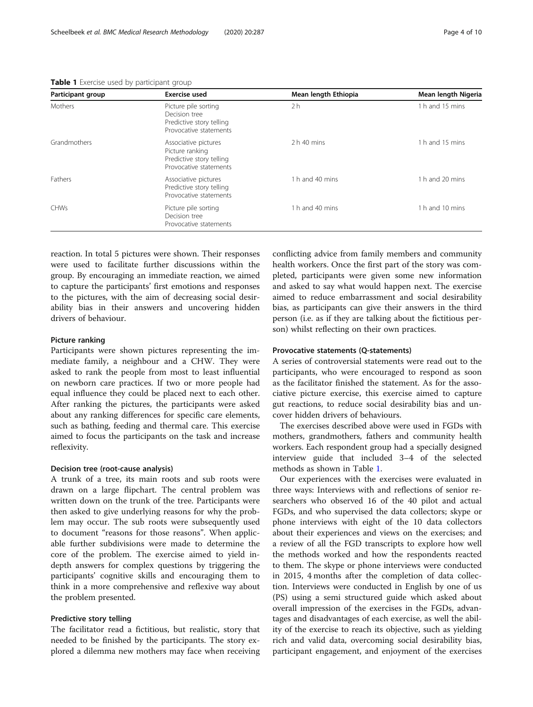| Participant group | <b>Exercise used</b>                                                                          | Mean length Ethiopia | Mean length Nigeria |  |  |
|-------------------|-----------------------------------------------------------------------------------------------|----------------------|---------------------|--|--|
| Mothers           | Picture pile sorting<br>Decision tree<br>Predictive story telling<br>Provocative statements   | 2 <sub>h</sub>       | 1 h and 15 mins     |  |  |
| Grandmothers      | Associative pictures<br>Picture ranking<br>Predictive story telling<br>Provocative statements | 2 h 40 mins          | 1 h and 15 mins     |  |  |
| Fathers           | Associative pictures<br>Predictive story telling<br>Provocative statements                    | 1 h and 40 mins      | 1 h and 20 mins     |  |  |
| <b>CHWs</b>       | Picture pile sorting<br>Decision tree<br>Provocative statements                               | 1 h and 40 mins      | 1 h and 10 mins     |  |  |

<span id="page-3-0"></span>Table 1 Exercise used by participant group

reaction. In total 5 pictures were shown. Their responses were used to facilitate further discussions within the group. By encouraging an immediate reaction, we aimed to capture the participants' first emotions and responses to the pictures, with the aim of decreasing social desirability bias in their answers and uncovering hidden drivers of behaviour.

## Picture ranking

Participants were shown pictures representing the immediate family, a neighbour and a CHW. They were asked to rank the people from most to least influential on newborn care practices. If two or more people had equal influence they could be placed next to each other. After ranking the pictures, the participants were asked about any ranking differences for specific care elements, such as bathing, feeding and thermal care. This exercise aimed to focus the participants on the task and increase reflexivity.

#### Decision tree (root-cause analysis)

A trunk of a tree, its main roots and sub roots were drawn on a large flipchart. The central problem was written down on the trunk of the tree. Participants were then asked to give underlying reasons for why the problem may occur. The sub roots were subsequently used to document "reasons for those reasons". When applicable further subdivisions were made to determine the core of the problem. The exercise aimed to yield indepth answers for complex questions by triggering the participants' cognitive skills and encouraging them to think in a more comprehensive and reflexive way about the problem presented.

## Predictive story telling

The facilitator read a fictitious, but realistic, story that needed to be finished by the participants. The story explored a dilemma new mothers may face when receiving

conflicting advice from family members and community health workers. Once the first part of the story was completed, participants were given some new information and asked to say what would happen next. The exercise aimed to reduce embarrassment and social desirability bias, as participants can give their answers in the third person (i.e. as if they are talking about the fictitious person) whilst reflecting on their own practices.

## Provocative statements (Q-statements)

A series of controversial statements were read out to the participants, who were encouraged to respond as soon as the facilitator finished the statement. As for the associative picture exercise, this exercise aimed to capture gut reactions, to reduce social desirability bias and uncover hidden drivers of behaviours.

The exercises described above were used in FGDs with mothers, grandmothers, fathers and community health workers. Each respondent group had a specially designed interview guide that included 3–4 of the selected methods as shown in Table 1.

Our experiences with the exercises were evaluated in three ways: Interviews with and reflections of senior researchers who observed 16 of the 40 pilot and actual FGDs, and who supervised the data collectors; skype or phone interviews with eight of the 10 data collectors about their experiences and views on the exercises; and a review of all the FGD transcripts to explore how well the methods worked and how the respondents reacted to them. The skype or phone interviews were conducted in 2015, 4 months after the completion of data collection. Interviews were conducted in English by one of us (PS) using a semi structured guide which asked about overall impression of the exercises in the FGDs, advantages and disadvantages of each exercise, as well the ability of the exercise to reach its objective, such as yielding rich and valid data, overcoming social desirability bias, participant engagement, and enjoyment of the exercises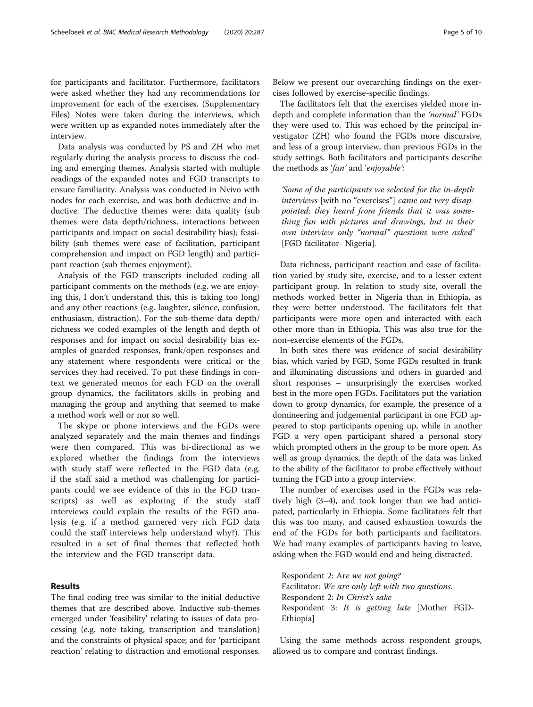for participants and facilitator. Furthermore, facilitators were asked whether they had any recommendations for improvement for each of the exercises. (Supplementary Files) Notes were taken during the interviews, which were written up as expanded notes immediately after the interview.

Data analysis was conducted by PS and ZH who met regularly during the analysis process to discuss the coding and emerging themes. Analysis started with multiple readings of the expanded notes and FGD transcripts to ensure familiarity. Analysis was conducted in Nvivo with nodes for each exercise, and was both deductive and inductive. The deductive themes were: data quality (sub themes were data depth/richness, interactions between participants and impact on social desirability bias); feasibility (sub themes were ease of facilitation, participant comprehension and impact on FGD length) and participant reaction (sub themes enjoyment).

Analysis of the FGD transcripts included coding all participant comments on the methods (e.g. we are enjoying this, I don't understand this, this is taking too long) and any other reactions (e.g. laughter, silence, confusion, enthusiasm, distraction). For the sub-theme data depth/ richness we coded examples of the length and depth of responses and for impact on social desirability bias examples of guarded responses, frank/open responses and any statement where respondents were critical or the services they had received. To put these findings in context we generated memos for each FGD on the overall group dynamics, the facilitators skills in probing and managing the group and anything that seemed to make a method work well or nor so well.

The skype or phone interviews and the FGDs were analyzed separately and the main themes and findings were then compared. This was bi-directional as we explored whether the findings from the interviews with study staff were reflected in the FGD data (e.g. if the staff said a method was challenging for participants could we see evidence of this in the FGD transcripts) as well as exploring if the study staff interviews could explain the results of the FGD analysis (e.g. if a method garnered very rich FGD data could the staff interviews help understand why?). This resulted in a set of final themes that reflected both the interview and the FGD transcript data.

## Results

The final coding tree was similar to the initial deductive themes that are described above. Inductive sub-themes emerged under 'feasibility' relating to issues of data processing (e.g. note taking, transcription and translation) and the constraints of physical space; and for 'participant reaction' relating to distraction and emotional responses.

Below we present our overarching findings on the exercises followed by exercise-specific findings.

The facilitators felt that the exercises yielded more indepth and complete information than the 'normal' FGDs they were used to. This was echoed by the principal investigator (ZH) who found the FGDs more discursive, and less of a group interview, than previous FGDs in the study settings. Both facilitators and participants describe the methods as 'fun' and 'enjoyable':

'Some of the participants we selected for the in-depth interviews [with no "exercises"] came out very disappointed: they heard from friends that it was something fun with pictures and drawings, but in their own interview only "normal" questions were asked' [FGD facilitator- Nigeria].

Data richness, participant reaction and ease of facilitation varied by study site, exercise, and to a lesser extent participant group. In relation to study site, overall the methods worked better in Nigeria than in Ethiopia, as they were better understood. The facilitators felt that participants were more open and interacted with each other more than in Ethiopia. This was also true for the non-exercise elements of the FGDs.

In both sites there was evidence of social desirability bias, which varied by FGD. Some FGDs resulted in frank and illuminating discussions and others in guarded and short responses – unsurprisingly the exercises worked best in the more open FGDs. Facilitators put the variation down to group dynamics, for example, the presence of a domineering and judgemental participant in one FGD appeared to stop participants opening up, while in another FGD a very open participant shared a personal story which prompted others in the group to be more open. As well as group dynamics, the depth of the data was linked to the ability of the facilitator to probe effectively without turning the FGD into a group interview.

The number of exercises used in the FGDs was relatively high (3–4), and took longer than we had anticipated, particularly in Ethiopia. Some facilitators felt that this was too many, and caused exhaustion towards the end of the FGDs for both participants and facilitators. We had many examples of participants having to leave, asking when the FGD would end and being distracted.

Respondent 2: Are we not going? Facilitator: We are only left with two questions. Respondent 2: In Christ's sake Respondent 3: It is getting late [Mother FGD-Ethiopia]

Using the same methods across respondent groups, allowed us to compare and contrast findings.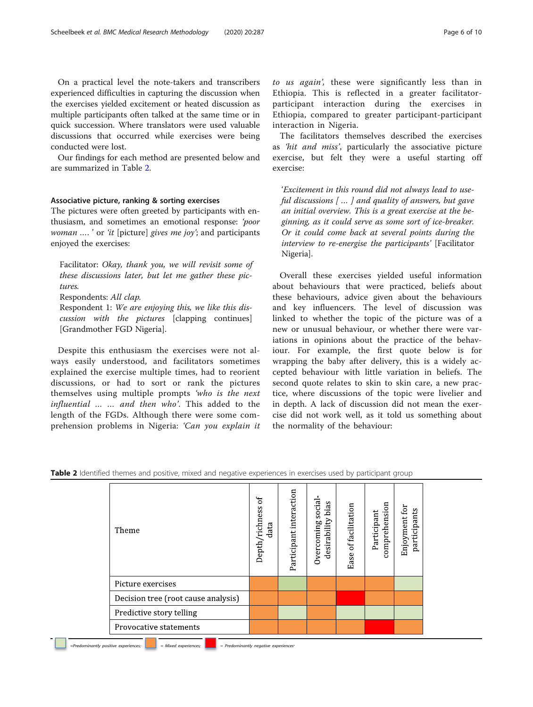On a practical level the note-takers and transcribers experienced difficulties in capturing the discussion when the exercises yielded excitement or heated discussion as multiple participants often talked at the same time or in quick succession. Where translators were used valuable discussions that occurred while exercises were being conducted were lost.

Our findings for each method are presented below and are summarized in Table 2.

## Associative picture, ranking & sorting exercises

The pictures were often greeted by participants with enthusiasm, and sometimes an emotional response: 'poor woman ....' or 'it [picture] gives me joy'; and participants enjoyed the exercises:

Facilitator: Okay, thank you, we will revisit some of these discussions later, but let me gather these pictures

Respondents: All clap.

Respondent 1: We are enjoying this, we like this discussion with the pictures [clapping continues] [Grandmother FGD Nigeria].

Despite this enthusiasm the exercises were not always easily understood, and facilitators sometimes explained the exercise multiple times, had to reorient discussions, or had to sort or rank the pictures themselves using multiple prompts 'who is the next influential … … and then who'. This added to the length of the FGDs. Although there were some comprehension problems in Nigeria: 'Can you explain it

to us again', these were significantly less than in Ethiopia. This is reflected in a greater facilitatorparticipant interaction during the exercises in Ethiopia, compared to greater participant-participant interaction in Nigeria.

The facilitators themselves described the exercises as 'hit and miss', particularly the associative picture exercise, but felt they were a useful starting off exercise:

'Excitement in this round did not always lead to useful discussions [...] and quality of answers, but gave an initial overview. This is a great exercise at the beginning, as it could serve as some sort of ice-breaker. Or it could come back at several points during the interview to re-energise the participants' [Facilitator Nigeria].

Overall these exercises yielded useful information about behaviours that were practiced, beliefs about these behaviours, advice given about the behaviours and key influencers. The level of discussion was linked to whether the topic of the picture was of a new or unusual behaviour, or whether there were variations in opinions about the practice of the behaviour. For example, the first quote below is for wrapping the baby after delivery, this is a widely accepted behaviour with little variation in beliefs. The second quote relates to skin to skin care, a new practice, where discussions of the topic were livelier and in depth. A lack of discussion did not mean the exercise did not work well, as it told us something about the normality of the behaviour:

| Theme                               | $\sigma$<br>/richness<br>data<br>Depth/ | Participant interaction | social<br>bias<br>desirability<br>Overcoming | of facilitation<br>Ease | comprehension<br>Participant | Enjoyment for<br>participants |
|-------------------------------------|-----------------------------------------|-------------------------|----------------------------------------------|-------------------------|------------------------------|-------------------------------|
| Picture exercises                   |                                         |                         |                                              |                         |                              |                               |
| Decision tree (root cause analysis) |                                         |                         |                                              |                         |                              |                               |
| Predictive story telling            |                                         |                         |                                              |                         |                              |                               |
| Provocative statements              |                                         |                         |                                              |                         |                              |                               |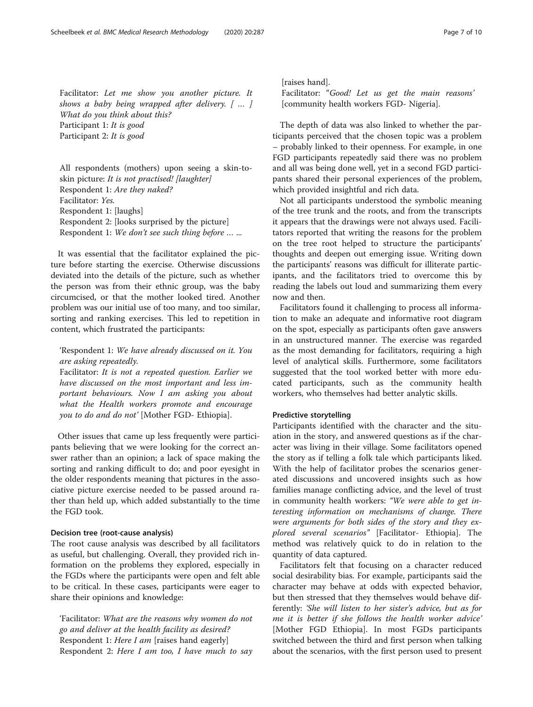Facilitator: Let me show you another picture. It shows a baby being wrapped after delivery.  $\lceil \dots \rceil$ What do you think about this? Participant 1: It is good Participant 2: It is good

All respondents (mothers) upon seeing a skin-toskin picture: It is not practised! [laughter] Respondent 1: Are they naked? Facilitator: Yes. Respondent 1: [laughs] Respondent 2: [looks surprised by the picture] Respondent 1: We don't see such thing before ... ...

It was essential that the facilitator explained the picture before starting the exercise. Otherwise discussions deviated into the details of the picture, such as whether the person was from their ethnic group, was the baby circumcised, or that the mother looked tired. Another problem was our initial use of too many, and too similar, sorting and ranking exercises. This led to repetition in content, which frustrated the participants:

'Respondent 1: We have already discussed on it. You are asking repeatedly.

Facilitator: It is not a repeated question. Earlier we have discussed on the most important and less important behaviours. Now I am asking you about what the Health workers promote and encourage you to do and do not' [Mother FGD- Ethiopia].

Other issues that came up less frequently were participants believing that we were looking for the correct answer rather than an opinion; a lack of space making the sorting and ranking difficult to do; and poor eyesight in the older respondents meaning that pictures in the associative picture exercise needed to be passed around rather than held up, which added substantially to the time the FGD took.

## Decision tree (root-cause analysis)

The root cause analysis was described by all facilitators as useful, but challenging. Overall, they provided rich information on the problems they explored, especially in the FGDs where the participants were open and felt able to be critical. In these cases, participants were eager to share their opinions and knowledge:

'Facilitator: What are the reasons why women do not go and deliver at the health facility as desired? Respondent 1: Here I am [raises hand eagerly] Respondent 2: Here I am too, I have much to say [raises hand].

Facilitator: "Good! Let us get the main reasons' [community health workers FGD- Nigeria].

The depth of data was also linked to whether the participants perceived that the chosen topic was a problem – probably linked to their openness. For example, in one FGD participants repeatedly said there was no problem and all was being done well, yet in a second FGD participants shared their personal experiences of the problem, which provided insightful and rich data.

Not all participants understood the symbolic meaning of the tree trunk and the roots, and from the transcripts it appears that the drawings were not always used. Facilitators reported that writing the reasons for the problem on the tree root helped to structure the participants' thoughts and deepen out emerging issue. Writing down the participants' reasons was difficult for illiterate participants, and the facilitators tried to overcome this by reading the labels out loud and summarizing them every now and then.

Facilitators found it challenging to process all information to make an adequate and informative root diagram on the spot, especially as participants often gave answers in an unstructured manner. The exercise was regarded as the most demanding for facilitators, requiring a high level of analytical skills. Furthermore, some facilitators suggested that the tool worked better with more educated participants, such as the community health workers, who themselves had better analytic skills.

## Predictive storytelling

Participants identified with the character and the situation in the story, and answered questions as if the character was living in their village. Some facilitators opened the story as if telling a folk tale which participants liked. With the help of facilitator probes the scenarios generated discussions and uncovered insights such as how families manage conflicting advice, and the level of trust in community health workers: "We were able to get interesting information on mechanisms of change. There were arguments for both sides of the story and they explored several scenarios" [Facilitator- Ethiopia]. The method was relatively quick to do in relation to the quantity of data captured.

Facilitators felt that focusing on a character reduced social desirability bias. For example, participants said the character may behave at odds with expected behavior, but then stressed that they themselves would behave differently: 'She will listen to her sister's advice, but as for me it is better if she follows the health worker advice' [Mother FGD Ethiopia]. In most FGDs participants switched between the third and first person when talking about the scenarios, with the first person used to present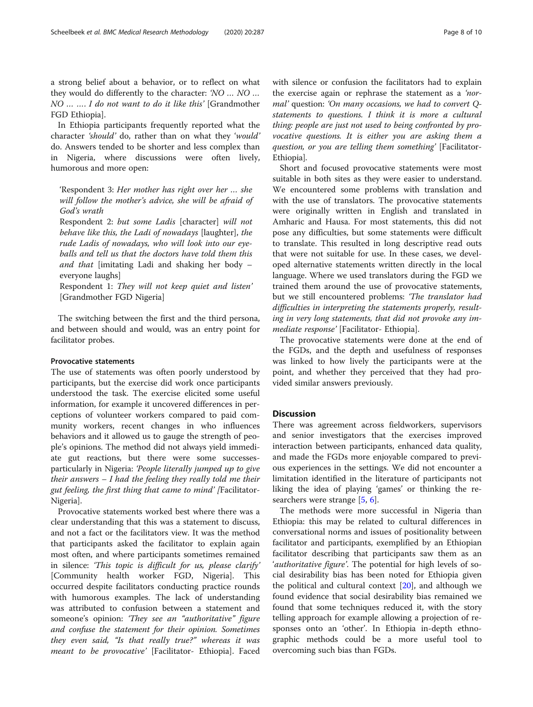a strong belief about a behavior, or to reflect on what they would do differently to the character: 'NO … NO … NO … …. I do not want to do it like this' [Grandmother FGD Ethiopia].

In Ethiopia participants frequently reported what the character 'should' do, rather than on what they 'would' do. Answers tended to be shorter and less complex than in Nigeria, where discussions were often lively, humorous and more open:

'Respondent 3: Her mother has right over her … she will follow the mother's advice, she will be afraid of God's wrath

Respondent 2: but some Ladis [character] will not behave like this, the Ladi of nowadays [laughter], the rude Ladis of nowadays, who will look into our eyeballs and tell us that the doctors have told them this and that [imitating Ladi and shaking her body – everyone laughs]

Respondent 1: They will not keep quiet and listen' [Grandmother FGD Nigeria]

The switching between the first and the third persona, and between should and would, was an entry point for facilitator probes.

## Provocative statements

The use of statements was often poorly understood by participants, but the exercise did work once participants understood the task. The exercise elicited some useful information, for example it uncovered differences in perceptions of volunteer workers compared to paid community workers, recent changes in who influences behaviors and it allowed us to gauge the strength of people's opinions. The method did not always yield immediate gut reactions, but there were some successesparticularly in Nigeria: 'People literally jumped up to give their answers  $- I$  had the feeling they really told me their gut feeling, the first thing that came to mind' [Facilitator-Nigeria].

Provocative statements worked best where there was a clear understanding that this was a statement to discuss, and not a fact or the facilitators view. It was the method that participants asked the facilitator to explain again most often, and where participants sometimes remained in silence: 'This topic is difficult for us, please clarify' [Community health worker FGD, Nigeria]. This occurred despite facilitators conducting practice rounds with humorous examples. The lack of understanding was attributed to confusion between a statement and someone's opinion: 'They see an "authoritative" figure and confuse the statement for their opinion. Sometimes they even said, "Is that really true?" whereas it was meant to be provocative' [Facilitator- Ethiopia]. Faced with silence or confusion the facilitators had to explain the exercise again or rephrase the statement as a 'normal' question: 'On many occasions, we had to convert Qstatements to questions. I think it is more a cultural thing: people are just not used to being confronted by provocative questions. It is either you are asking them a question, or you are telling them something' [Facilitator-Ethiopia].

Short and focused provocative statements were most suitable in both sites as they were easier to understand. We encountered some problems with translation and with the use of translators. The provocative statements were originally written in English and translated in Amharic and Hausa. For most statements, this did not pose any difficulties, but some statements were difficult to translate. This resulted in long descriptive read outs that were not suitable for use. In these cases, we developed alternative statements written directly in the local language. Where we used translators during the FGD we trained them around the use of provocative statements, but we still encountered problems: 'The translator had difficulties in interpreting the statements properly, resulting in very long statements, that did not provoke any immediate response' [Facilitator- Ethiopia].

The provocative statements were done at the end of the FGDs, and the depth and usefulness of responses was linked to how lively the participants were at the point, and whether they perceived that they had provided similar answers previously.

## **Discussion**

There was agreement across fieldworkers, supervisors and senior investigators that the exercises improved interaction between participants, enhanced data quality, and made the FGDs more enjoyable compared to previous experiences in the settings. We did not encounter a limitation identified in the literature of participants not liking the idea of playing 'games' or thinking the re-searchers were strange [\[5](#page-9-0), [6](#page-9-0)].

The methods were more successful in Nigeria than Ethiopia: this may be related to cultural differences in conversational norms and issues of positionality between facilitator and participants, exemplified by an Ethiopian facilitator describing that participants saw them as an 'authoritative figure'. The potential for high levels of social desirability bias has been noted for Ethiopia given the political and cultural context  $[20]$  $[20]$  $[20]$ , and although we found evidence that social desirability bias remained we found that some techniques reduced it, with the story telling approach for example allowing a projection of responses onto an 'other'. In Ethiopia in-depth ethnographic methods could be a more useful tool to overcoming such bias than FGDs.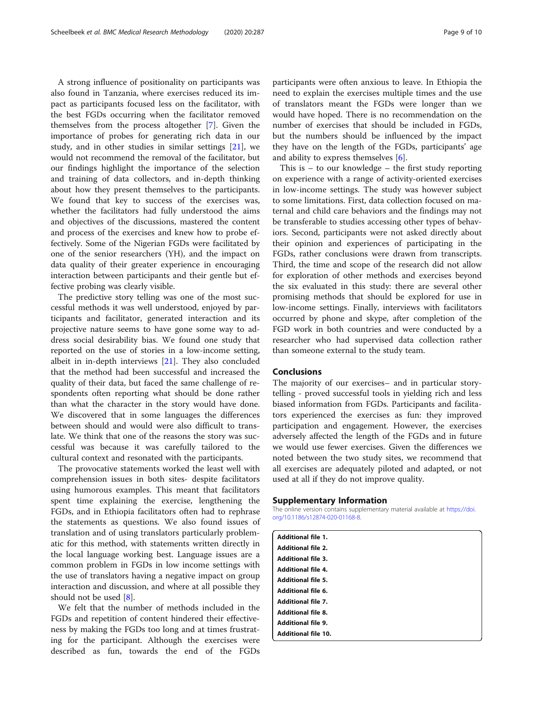A strong influence of positionality on participants was also found in Tanzania, where exercises reduced its impact as participants focused less on the facilitator, with the best FGDs occurring when the facilitator removed themselves from the process altogether [\[7](#page-9-0)]. Given the importance of probes for generating rich data in our study, and in other studies in similar settings [[21](#page-9-0)], we would not recommend the removal of the facilitator, but our findings highlight the importance of the selection and training of data collectors, and in-depth thinking about how they present themselves to the participants. We found that key to success of the exercises was, whether the facilitators had fully understood the aims and objectives of the discussions, mastered the content and process of the exercises and knew how to probe effectively. Some of the Nigerian FGDs were facilitated by one of the senior researchers (YH), and the impact on data quality of their greater experience in encouraging interaction between participants and their gentle but effective probing was clearly visible.

The predictive story telling was one of the most successful methods it was well understood, enjoyed by participants and facilitator, generated interaction and its projective nature seems to have gone some way to address social desirability bias. We found one study that reported on the use of stories in a low-income setting, albeit in in-depth interviews [[21\]](#page-9-0). They also concluded that the method had been successful and increased the quality of their data, but faced the same challenge of respondents often reporting what should be done rather than what the character in the story would have done. We discovered that in some languages the differences between should and would were also difficult to translate. We think that one of the reasons the story was successful was because it was carefully tailored to the cultural context and resonated with the participants.

The provocative statements worked the least well with comprehension issues in both sites- despite facilitators using humorous examples. This meant that facilitators spent time explaining the exercise, lengthening the FGDs, and in Ethiopia facilitators often had to rephrase the statements as questions. We also found issues of translation and of using translators particularly problematic for this method, with statements written directly in the local language working best. Language issues are a common problem in FGDs in low income settings with the use of translators having a negative impact on group interaction and discussion, and where at all possible they should not be used [[8\]](#page-9-0).

We felt that the number of methods included in the FGDs and repetition of content hindered their effectiveness by making the FGDs too long and at times frustrating for the participant. Although the exercises were described as fun, towards the end of the FGDs

participants were often anxious to leave. In Ethiopia the need to explain the exercises multiple times and the use of translators meant the FGDs were longer than we would have hoped. There is no recommendation on the number of exercises that should be included in FGDs, but the numbers should be influenced by the impact they have on the length of the FGDs, participants' age and ability to express themselves [\[6](#page-9-0)].

This is  $-$  to our knowledge  $-$  the first study reporting on experience with a range of activity-oriented exercises in low-income settings. The study was however subject to some limitations. First, data collection focused on maternal and child care behaviors and the findings may not be transferable to studies accessing other types of behaviors. Second, participants were not asked directly about their opinion and experiences of participating in the FGDs, rather conclusions were drawn from transcripts. Third, the time and scope of the research did not allow for exploration of other methods and exercises beyond the six evaluated in this study: there are several other promising methods that should be explored for use in low-income settings. Finally, interviews with facilitators occurred by phone and skype, after completion of the FGD work in both countries and were conducted by a researcher who had supervised data collection rather than someone external to the study team.

## Conclusions

The majority of our exercises– and in particular storytelling - proved successful tools in yielding rich and less biased information from FGDs. Participants and facilitators experienced the exercises as fun: they improved participation and engagement. However, the exercises adversely affected the length of the FGDs and in future we would use fewer exercises. Given the differences we noted between the two study sites, we recommend that all exercises are adequately piloted and adapted, or not used at all if they do not improve quality.

## Supplementary Information

The online version contains supplementary material available at [https://doi.](https://doi.org/10.1186/s12874-020-01168-8) [org/10.1186/s12874-020-01168-8.](https://doi.org/10.1186/s12874-020-01168-8)

| <b>Additional file 1.</b>  |  |
|----------------------------|--|
| <b>Additional file 2.</b>  |  |
| <b>Additional file 3.</b>  |  |
| <b>Additional file 4.</b>  |  |
| <b>Additional file 5.</b>  |  |
| Additional file 6.         |  |
| <b>Additional file 7.</b>  |  |
| <b>Additional file 8.</b>  |  |
| <b>Additional file 9.</b>  |  |
| <b>Additional file 10.</b> |  |